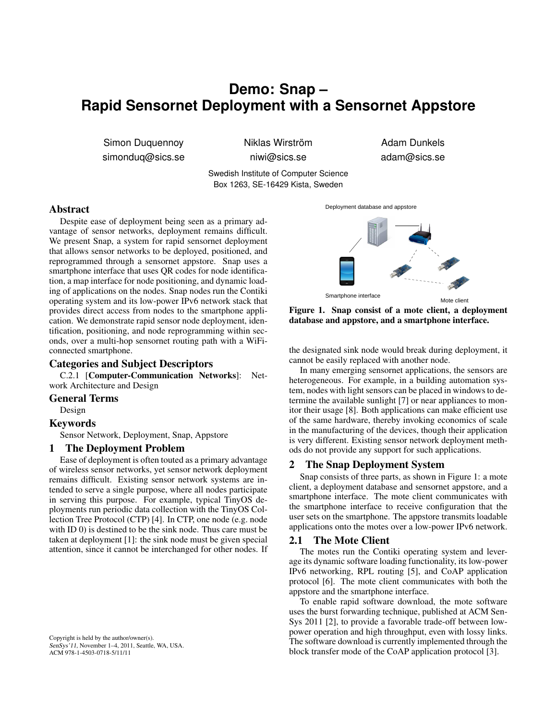# **Demo: Snap – Rapid Sensornet Deployment with a Sensornet Appstore**

Simon Duquennoy simonduq@sics.se Niklas Wirström niwi@sics.se

Adam Dunkels adam@sics.se

Swedish Institute of Computer Science Box 1263, SE-16429 Kista, Sweden

## Abstract

Despite ease of deployment being seen as a primary advantage of sensor networks, deployment remains difficult. We present Snap, a system for rapid sensornet deployment that allows sensor networks to be deployed, positioned, and reprogrammed through a sensornet appstore. Snap uses a smartphone interface that uses QR codes for node identification, a map interface for node positioning, and dynamic loading of applications on the nodes. Snap nodes run the Contiki operating system and its low-power IPv6 network stack that provides direct access from nodes to the smartphone application. We demonstrate rapid sensor node deployment, identification, positioning, and node reprogramming within seconds, over a multi-hop sensornet routing path with a WiFiconnected smartphone.

## Categories and Subject Descriptors

C.2.1 [Computer-Communication Networks]: Network Architecture and Design

## General Terms

Design

## Keywords

Sensor Network, Deployment, Snap, Appstore

## 1 The Deployment Problem

Ease of deployment is often touted as a primary advantage of wireless sensor networks, yet sensor network deployment remains difficult. Existing sensor network systems are intended to serve a single purpose, where all nodes participate in serving this purpose. For example, typical TinyOS deployments run periodic data collection with the TinyOS Collection Tree Protocol (CTP) [4]. In CTP, one node (e.g. node with ID 0) is destined to be the sink node. Thus care must be taken at deployment [1]: the sink node must be given special attention, since it cannot be interchanged for other nodes. If

Copyright is held by the author/owner(s). SenSys'11, November 1–4, 2011, Seattle, WA, USA. ACM 978-1-4503-0718-5/11/11



Figure 1. Snap consist of a mote client, a deployment database and appstore, and a smartphone interface.

the designated sink node would break during deployment, it cannot be easily replaced with another node.

In many emerging sensornet applications, the sensors are heterogeneous. For example, in a building automation system, nodes with light sensors can be placed in windows to determine the available sunlight [7] or near appliances to monitor their usage [8]. Both applications can make efficient use of the same hardware, thereby invoking economics of scale in the manufacturing of the devices, though their application is very different. Existing sensor network deployment methods do not provide any support for such applications.

#### 2 The Snap Deployment System

Snap consists of three parts, as shown in Figure 1: a mote client, a deployment database and sensornet appstore, and a smartphone interface. The mote client communicates with the smartphone interface to receive configuration that the user sets on the smartphone. The appstore transmits loadable applications onto the motes over a low-power IPv6 network.

#### 2.1 The Mote Client

The motes run the Contiki operating system and leverage its dynamic software loading functionality, its low-power IPv6 networking, RPL routing [5], and CoAP application protocol [6]. The mote client communicates with both the appstore and the smartphone interface.

To enable rapid software download, the mote software uses the burst forwarding technique, published at ACM Sen-Sys 2011 [2], to provide a favorable trade-off between lowpower operation and high throughput, even with lossy links. The software download is currently implemented through the block transfer mode of the CoAP application protocol [3].